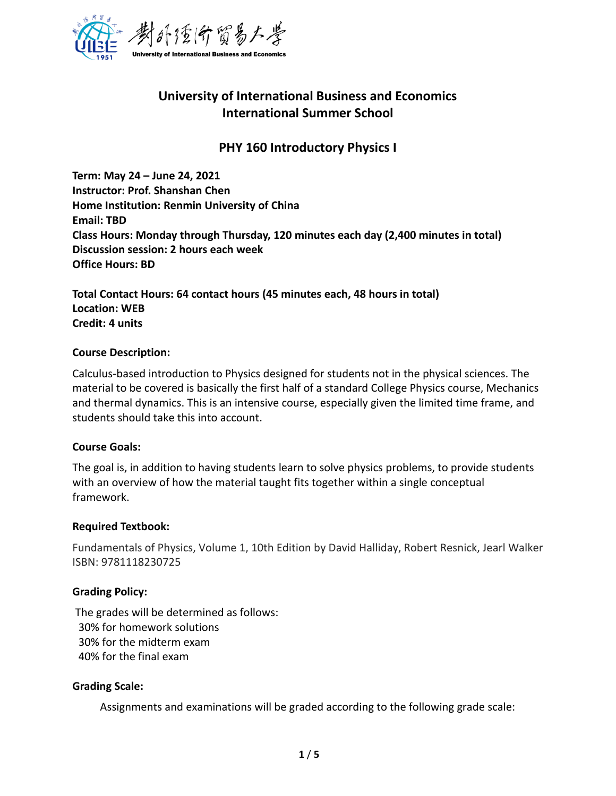

# **University of International Business and Economics International Summer School**

# **PHY 160 Introductory Physics I**

**Term: May 24 – June 24, 2021 Instructor: Prof. Shanshan Chen Home Institution: Renmin University of China Email: TBD Class Hours: Monday through Thursday, 120 minutes each day (2,400 minutes in total) Discussion session: 2 hours each week Office Hours: BD**

**Total Contact Hours: 64 contact hours (45 minutes each, 48 hours in total) Location: WEB Credit: 4 units**

#### **Course Description:**

Calculus-based introduction to Physics designed for students not in the physical sciences. The material to be covered is basically the first half of a standard College Physics course, Mechanics and thermal dynamics. This is an intensive course, especially given the limited time frame, and students should take this into account.

### **Course Goals:**

The goal is, in addition to having students learn to solve physics problems, to provide students with an overview of how the material taught fits together within a single conceptual framework.

### **Required Textbook:**

Fundamentals of Physics, Volume 1, 10th Edition by David Halliday, Robert Resnick, Jearl Walker ISBN: 9781118230725

### **Grading Policy:**

The grades will be determined as follows: 30% for homework solutions 30% for the midterm exam 40% for the final exam

### **Grading Scale:**

Assignments and examinations will be graded according to the following grade scale: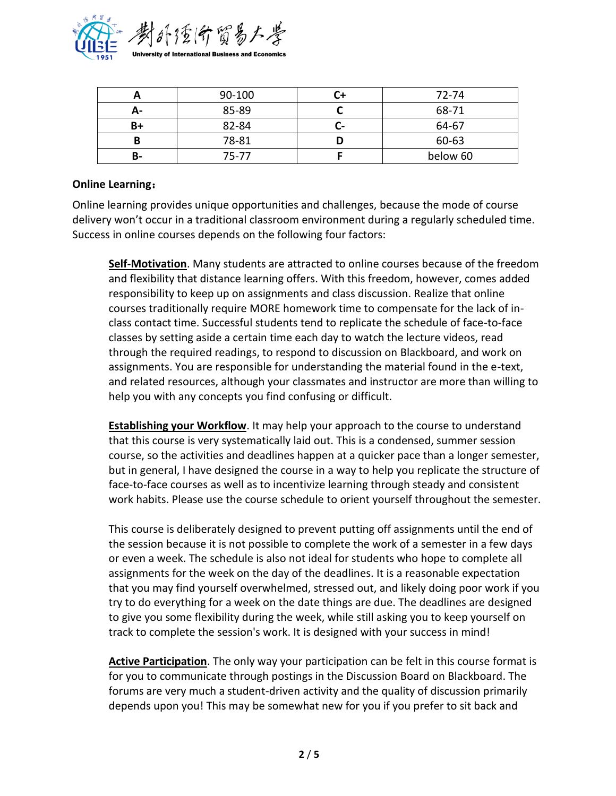

|    | 90-100    |   | 72-74    |
|----|-----------|---|----------|
| А- | 85-89     |   | 68-71    |
| B+ | 82-84     | - | 64-67    |
| B  | 78-81     |   | 60-63    |
| В- | $75 - 77$ |   | below 60 |

#### **Online Learning**:

Online learning provides unique opportunities and challenges, because the mode of course delivery won't occur in a traditional classroom environment during a regularly scheduled time. Success in online courses depends on the following four factors:

**Self-Motivation**. Many students are attracted to online courses because of the freedom and flexibility that distance learning offers. With this freedom, however, comes added responsibility to keep up on assignments and class discussion. Realize that online courses traditionally require MORE homework time to compensate for the lack of inclass contact time. Successful students tend to replicate the schedule of face-to-face classes by setting aside a certain time each day to watch the lecture videos, read through the required readings, to respond to discussion on Blackboard, and work on assignments. You are responsible for understanding the material found in the e-text, and related resources, although your classmates and instructor are more than willing to help you with any concepts you find confusing or difficult.

**Establishing your Workflow**. It may help your approach to the course to understand that this course is very systematically laid out. This is a condensed, summer session course, so the activities and deadlines happen at a quicker pace than a longer semester, but in general, I have designed the course in a way to help you replicate the structure of face-to-face courses as well as to incentivize learning through steady and consistent work habits. Please use the course schedule to orient yourself throughout the semester.

This course is deliberately designed to prevent putting off assignments until the end of the session because it is not possible to complete the work of a semester in a few days or even a week. The schedule is also not ideal for students who hope to complete all assignments for the week on the day of the deadlines. It is a reasonable expectation that you may find yourself overwhelmed, stressed out, and likely doing poor work if you try to do everything for a week on the date things are due. The deadlines are designed to give you some flexibility during the week, while still asking you to keep yourself on track to complete the session's work. It is designed with your success in mind!

**Active Participation**. The only way your participation can be felt in this course format is for you to communicate through postings in the Discussion Board on Blackboard. The forums are very much a student-driven activity and the quality of discussion primarily depends upon you! This may be somewhat new for you if you prefer to sit back and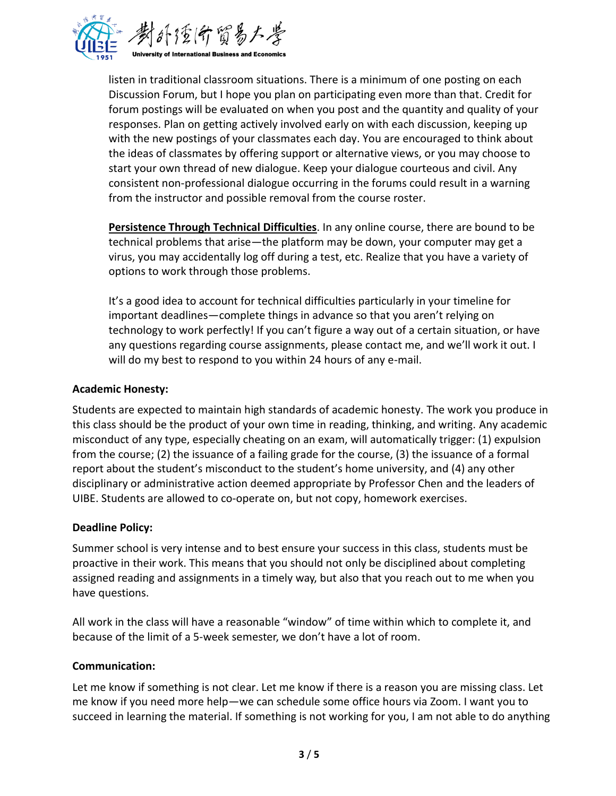

listen in traditional classroom situations. There is a minimum of one posting on each Discussion Forum, but I hope you plan on participating even more than that. Credit for forum postings will be evaluated on when you post and the quantity and quality of your responses. Plan on getting actively involved early on with each discussion, keeping up with the new postings of your classmates each day. You are encouraged to think about the ideas of classmates by offering support or alternative views, or you may choose to start your own thread of new dialogue. Keep your dialogue courteous and civil. Any consistent non-professional dialogue occurring in the forums could result in a warning from the instructor and possible removal from the course roster.

**Persistence Through Technical Difficulties**. In any online course, there are bound to be technical problems that arise—the platform may be down, your computer may get a virus, you may accidentally log off during a test, etc. Realize that you have a variety of options to work through those problems.

It's a good idea to account for technical difficulties particularly in your timeline for important deadlines—complete things in advance so that you aren't relying on technology to work perfectly! If you can't figure a way out of a certain situation, or have any questions regarding course assignments, please contact me, and we'll work it out. I will do my best to respond to you within 24 hours of any e-mail.

### **Academic Honesty:**

Students are expected to maintain high standards of academic honesty. The work you produce in this class should be the product of your own time in reading, thinking, and writing. Any academic misconduct of any type, especially cheating on an exam, will automatically trigger: (1) expulsion from the course; (2) the issuance of a failing grade for the course, (3) the issuance of a formal report about the student's misconduct to the student's home university, and (4) any other disciplinary or administrative action deemed appropriate by Professor Chen and the leaders of UIBE. Students are allowed to co-operate on, but not copy, homework exercises.

### **Deadline Policy:**

Summer school is very intense and to best ensure your success in this class, students must be proactive in their work. This means that you should not only be disciplined about completing assigned reading and assignments in a timely way, but also that you reach out to me when you have questions.

All work in the class will have a reasonable "window" of time within which to complete it, and because of the limit of a 5-week semester, we don't have a lot of room.

### **Communication:**

Let me know if something is not clear. Let me know if there is a reason you are missing class. Let me know if you need more help—we can schedule some office hours via Zoom. I want you to succeed in learning the material. If something is not working for you, I am not able to do anything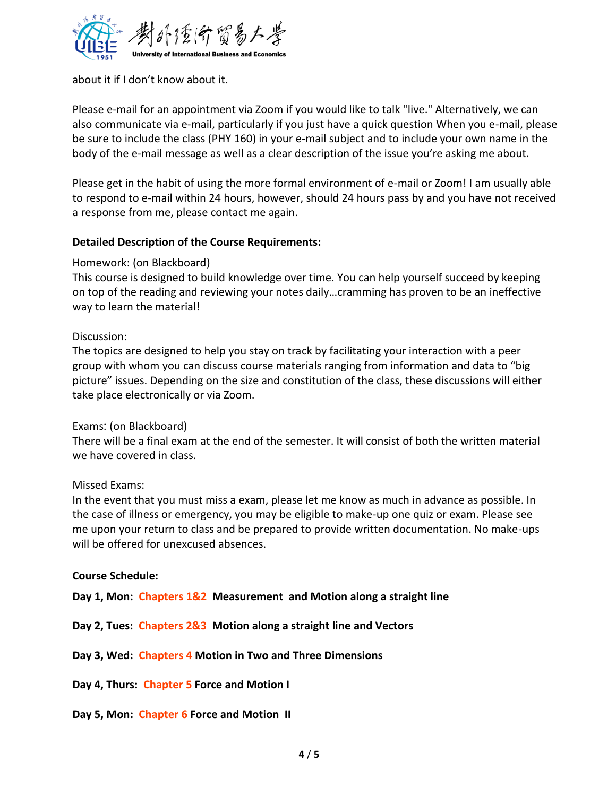

about it if I don't know about it.

Please e-mail for an appointment via Zoom if you would like to talk "live." Alternatively, we can also communicate via e-mail, particularly if you just have a quick question When you e-mail, please be sure to include the class (PHY 160) in your e-mail subject and to include your own name in the body of the e-mail message as well as a clear description of the issue you're asking me about.

Please get in the habit of using the more formal environment of e-mail or Zoom! I am usually able to respond to e-mail within 24 hours, however, should 24 hours pass by and you have not received a response from me, please contact me again.

### **Detailed Description of the Course Requirements:**

### Homework: (on Blackboard)

This course is designed to build knowledge over time. You can help yourself succeed by keeping on top of the reading and reviewing your notes daily…cramming has proven to be an ineffective way to learn the material!

## Discussion:

The topics are designed to help you stay on track by facilitating your interaction with a peer group with whom you can discuss course materials ranging from information and data to "big picture" issues. Depending on the size and constitution of the class, these discussions will either take place electronically or via Zoom.

### Exams: (on Blackboard)

There will be a final exam at the end of the semester. It will consist of both the written material we have covered in class.

### Missed Exams:

In the event that you must miss a exam, please let me know as much in advance as possible. In the case of illness or emergency, you may be eligible to make-up one quiz or exam. Please see me upon your return to class and be prepared to provide written documentation. No make-ups will be offered for unexcused absences.

### **Course Schedule:**

**Day 1, Mon: Chapters 1&2 Measurement and Motion along a straight line**

**Day 2, Tues: Chapters 2&3 Motion along a straight line and Vectors**

**Day 3, Wed: Chapters 4 Motion in Two and Three Dimensions**

**Day 4, Thurs: Chapter 5 Force and Motion I**

**Day 5, Mon: Chapter 6 Force and Motion II**